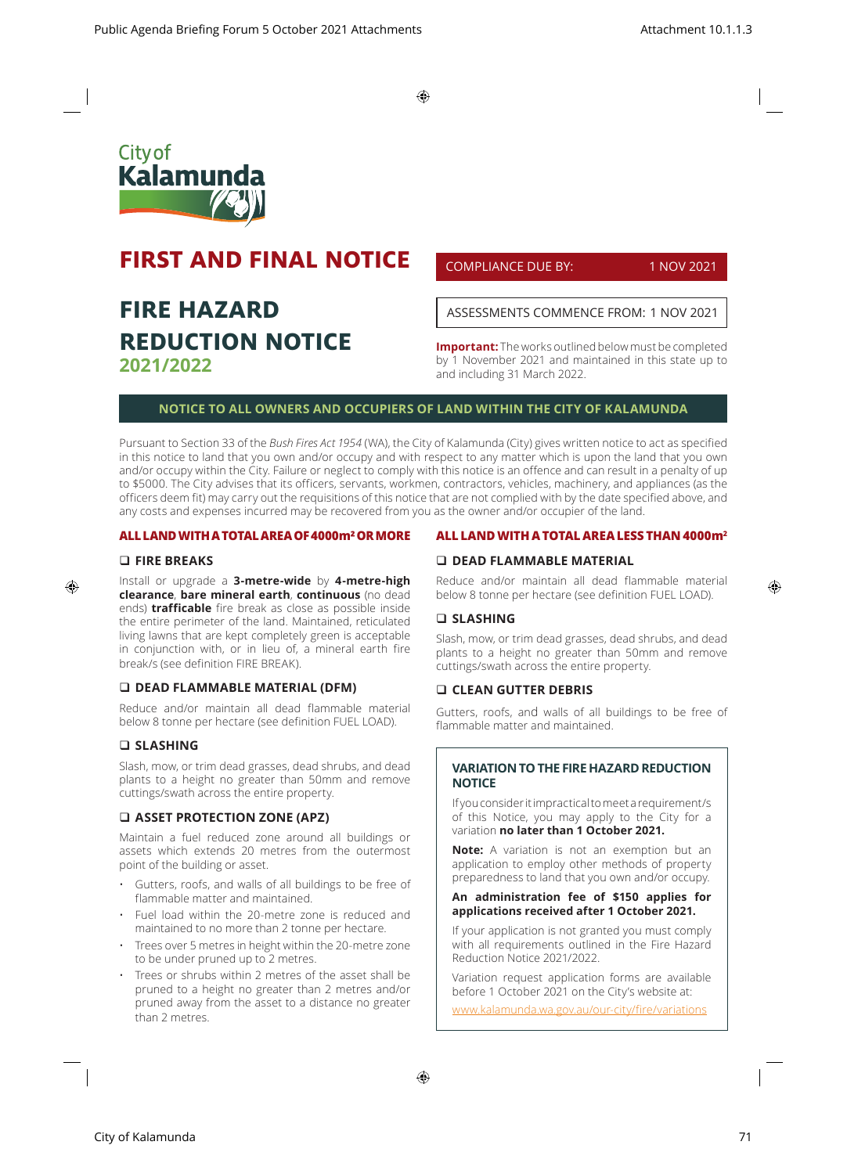$\bigoplus$ 



# **FIRST AND FINAL NOTICE**

# **FIRE HAZARD REDUCTION NOTICE 2021/2022**

COMPLIANCE DUE BY: 1 NOV 2021

ASSESSMENTS COMMENCE FROM: 1 NOV 2021

**Important:** The works outlined below must be completed by 1 November 2021 and maintained in this state up to and including 31 March 2022.

# **NOTICE TO ALL OWNERS AND OCCUPIERS OF LAND WITHIN THE CITY OF KALAMUNDA**

Pursuant to Section 33 of the *Bush Fires Act 1954* (WA), the City of Kalamunda (City) gives written notice to act as specified in this notice to land that you own and/or occupy and with respect to any matter which is upon the land that you own and/or occupy within the City. Failure or neglect to comply with this notice is an offence and can result in a penalty of up to \$5000. The City advises that its officers, servants, workmen, contractors, vehicles, machinery, and appliances (as the officers deem fit) may carry out the requisitions of this notice that are not complied with by the date specified above, and any costs and expenses incurred may be recovered from you as the owner and/or occupier of the land.

## **ALL LAND WITH A TOTAL AREA OF 4000m² OR MORE**

#### **FIRE BREAKS**

⊕

Install or upgrade a **3-metre-wide** by **4-metre-high clearance**, **bare mineral earth**, **continuous** (no dead ends) **trafficable** fire break as close as possible inside the entire perimeter of the land. Maintained, reticulated living lawns that are kept completely green is acceptable in conjunction with, or in lieu of, a mineral earth fire break/s (see definition FIRE BREAK).

## **DEAD FLAMMABLE MATERIAL (DFM)**

Reduce and/or maintain all dead flammable material below 8 tonne per hectare (see definition FUEL LOAD).

## **SLASHING**

Slash, mow, or trim dead grasses, dead shrubs, and dead plants to a height no greater than 50mm and remove cuttings/swath across the entire property.

## **ASSET PROTECTION ZONE (APZ)**

Maintain a fuel reduced zone around all buildings or assets which extends 20 metres from the outermost point of the building or asset.

- Gutters, roofs, and walls of all buildings to be free of flammable matter and maintained.
- Fuel load within the 20-metre zone is reduced and maintained to no more than 2 tonne per hectare.
- Trees over 5 metres in height within the 20-metre zone to be under pruned up to 2 metres.
- Trees or shrubs within 2 metres of the asset shall be pruned to a height no greater than 2 metres and/or pruned away from the asset to a distance no greater than 2 metres.

#### **ALL LAND WITH A TOTAL AREA LESS THAN 4000m2**

# **DEAD FLAMMABLE MATERIAL**

Reduce and/or maintain all dead flammable material below 8 tonne per hectare (see definition FUEL LOAD).

#### **SLASHING**

Slash, mow, or trim dead grasses, dead shrubs, and dead plants to a height no greater than 50mm and remove cuttings/swath across the entire property.

### **CLEAN GUTTER DEBRIS**

Gutters, roofs, and walls of all buildings to be free of flammable matter and maintained.

## **VARIATION TO THE FIRE HAZARD REDUCTION NOTICE**

If you consider it impractical to meet a requirement/s of this Notice, you may apply to the City for a variation **no later than 1 October 2021.** 

**Note:** A variation is not an exemption but an application to employ other methods of property preparedness to land that you own and/or occupy.

## **An administration fee of \$150 applies for applications received after 1 October 2021.**

If your application is not granted you must comply with all requirements outlined in the Fire Hazard Reduction Notice 2021/2022.

Variation request application forms are available before 1 October 2021 on the City's website at:

www.kalamunda.wa.gov.au/our-city/fire/variations

⊕